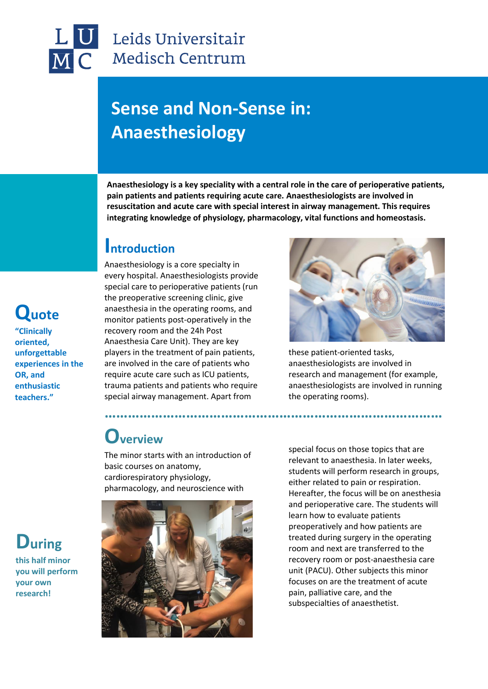## Leids Universitair **Medisch Centrum**

## **Sense and Non-Sense in: Anaesthesiology**

**Anaesthesiology is a key speciality with a central role in the care of perioperative patients, pain patients and patients requiring acute care. Anaesthesiologists are involved in resuscitation and acute care with special interest in airway management. This requires integrating knowledge of physiology, pharmacology, vital functions and homeostasis.**

**……………………………………………………………………………**

### **Introduction**

Anaesthesiology is a core specialty in every hospital. Anaesthesiologists provide special care to perioperative patients (run the preoperative screening clinic, give anaesthesia in the operating rooms, and monitor patients post-operatively in the recovery room and the 24h Post Anaesthesia Care Unit). They are key players in the treatment of pain patients, are involved in the care of patients who require acute care such as ICU patients, trauma patients and patients who require special airway management. Apart from



these patient-oriented tasks, anaesthesiologists are involved in research and management (for example, anaesthesiologists are involved in running the operating rooms).

## **Overview**

The minor starts with an introduction of basic courses on anatomy, cardiorespiratory physiology, pharmacology, and neuroscience with



special focus on those topics that are relevant to anaesthesia. In later weeks, students will perform research in groups, either related to pain or respiration. Hereafter, the focus will be on anesthesia and perioperative care. The students will learn how to evaluate patients preoperatively and how patients are treated during surgery in the operating room and next are transferred to the recovery room or post-anaesthesia care unit (PACU). Other subjects this minor focuses on are the treatment of acute pain, palliative care, and the subspecialties of anaesthetist.

# **Quote**

**"Clinically oriented, unforgettable experiences in the OR, and enthusiastic teachers."**

## **During**

**this half minor you will perform your own research!**